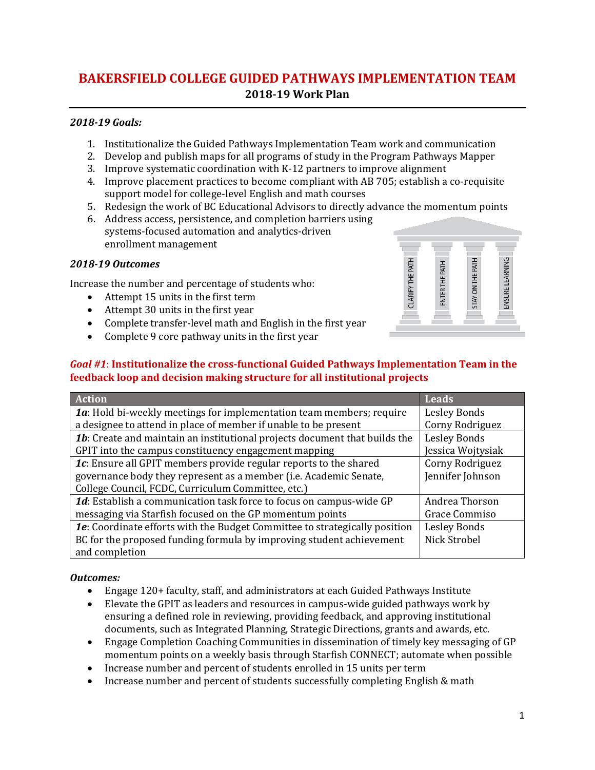# **BAKERSFIELD COLLEGE GUIDED PATHWAYS IMPLEMENTATION TEAM 2018-19 Work Plan**

## *2018-19 Goals:*

- 1. Institutionalize the Guided Pathways Implementation Team work and communication
- 2. Develop and publish maps for all programs of study in the Program Pathways Mapper
- 3. Improve systematic coordination with K-12 partners to improve alignment
- 4. Improve placement practices to become compliant with AB 705; establish a co-requisite support model for college-level English and math courses
- 5. Redesign the work of BC Educational Advisors to directly advance the momentum points
- 6. Address access, persistence, and completion barriers using systems-focused automation and analytics-driven enrollment management

### *2018-19 Outcomes*

Increase the number and percentage of students who:

- Attempt 15 units in the first term
- Attempt 30 units in the first year
- Complete transfer-level math and English in the first year
- Complete 9 core pathway units in the first year

# *Goal #1*: **Institutionalize the cross-functional Guided Pathways Implementation Team in the feedback loop and decision making structure for all institutional projects**

| <b>Action</b>                                                                     | <b>Leads</b>        |
|-----------------------------------------------------------------------------------|---------------------|
| 1a: Hold bi-weekly meetings for implementation team members; require              | <b>Lesley Bonds</b> |
| a designee to attend in place of member if unable to be present                   | Corny Rodriguez     |
| <b>1b:</b> Create and maintain an institutional projects document that builds the | Lesley Bonds        |
| GPIT into the campus constituency engagement mapping                              | Jessica Wojtysiak   |
| 1c: Ensure all GPIT members provide regular reports to the shared                 | Corny Rodriguez     |
| governance body they represent as a member (i.e. Academic Senate,                 | Jennifer Johnson    |
| College Council, FCDC, Curriculum Committee, etc.)                                |                     |
| 1d: Establish a communication task force to focus on campus-wide GP               | Andrea Thorson      |
| messaging via Starfish focused on the GP momentum points                          | Grace Commiso       |
| 1e: Coordinate efforts with the Budget Committee to strategically position        | Lesley Bonds        |
| BC for the proposed funding formula by improving student achievement              | Nick Strobel        |
| and completion                                                                    |                     |

# *Outcomes:*

- Engage 120+ faculty, staff, and administrators at each Guided Pathways Institute
- Elevate the GPIT as leaders and resources in campus-wide guided pathways work by ensuring a defined role in reviewing, providing feedback, and approving institutional documents, such as Integrated Planning, Strategic Directions, grants and awards, etc.
- Engage Completion Coaching Communities in dissemination of timely key messaging of GP momentum points on a weekly basis through Starfish CONNECT; automate when possible
- Increase number and percent of students enrolled in 15 units per term
- Increase number and percent of students successfully completing English & math

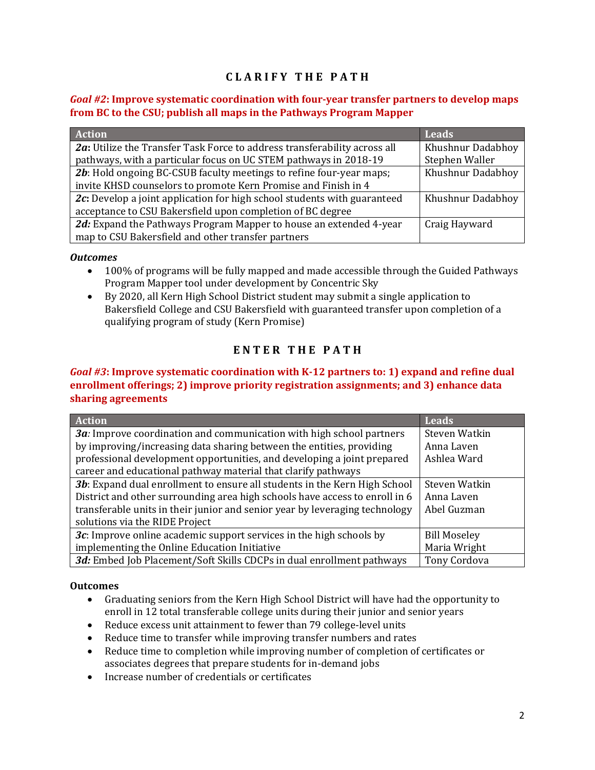# **C L A R I F Y T H E P A T H**

### *Goal #2***: Improve systematic coordination with four-year transfer partners to develop maps from BC to the CSU; publish all maps in the Pathways Program Mapper**

| <b>Action</b>                                                             | <b>Leads</b>      |
|---------------------------------------------------------------------------|-------------------|
| 2a: Utilize the Transfer Task Force to address transferability across all | Khushnur Dadabhoy |
| pathways, with a particular focus on UC STEM pathways in 2018-19          | Stephen Waller    |
| 2b: Hold ongoing BC-CSUB faculty meetings to refine four-year maps;       | Khushnur Dadabhoy |
| invite KHSD counselors to promote Kern Promise and Finish in 4            |                   |
| 2c: Develop a joint application for high school students with guaranteed  | Khushnur Dadabhoy |
| acceptance to CSU Bakersfield upon completion of BC degree                |                   |
| 2d: Expand the Pathways Program Mapper to house an extended 4-year        | Craig Hayward     |
| map to CSU Bakersfield and other transfer partners                        |                   |

#### *Outcomes*

- 100% of programs will be fully mapped and made accessible through the Guided Pathways Program Mapper tool under development by Concentric Sky
- By 2020, all Kern High School District student may submit a single application to Bakersfield College and CSU Bakersfield with guaranteed transfer upon completion of a qualifying program of study (Kern Promise)

# **E N T E R T H E P A T H**

### *Goal #3***: Improve systematic coordination with K-12 partners to: 1) expand and refine dual enrollment offerings; 2) improve priority registration assignments; and 3) enhance data sharing agreements**

| <b>Action</b>                                                               | <b>Leads</b>        |
|-----------------------------------------------------------------------------|---------------------|
| 3a: Improve coordination and communication with high school partners        | Steven Watkin       |
| by improving/increasing data sharing between the entities, providing        | Anna Laven          |
| professional development opportunities, and developing a joint prepared     | Ashlea Ward         |
| career and educational pathway material that clarify pathways               |                     |
| 3b: Expand dual enrollment to ensure all students in the Kern High School   | Steven Watkin       |
| District and other surrounding area high schools have access to enroll in 6 | Anna Laven          |
| transferable units in their junior and senior year by leveraging technology | Abel Guzman         |
| solutions via the RIDE Project                                              |                     |
| 3c: Improve online academic support services in the high schools by         | <b>Bill Moseley</b> |
| implementing the Online Education Initiative                                | Maria Wright        |
| 3d: Embed Job Placement/Soft Skills CDCPs in dual enrollment pathways       | <b>Tony Cordova</b> |

### **Outcomes**

- Graduating seniors from the Kern High School District will have had the opportunity to enroll in 12 total transferable college units during their junior and senior years
- Reduce excess unit attainment to fewer than 79 college-level units
- Reduce time to transfer while improving transfer numbers and rates
- Reduce time to completion while improving number of completion of certificates or associates degrees that prepare students for in-demand jobs
- Increase number of credentials or certificates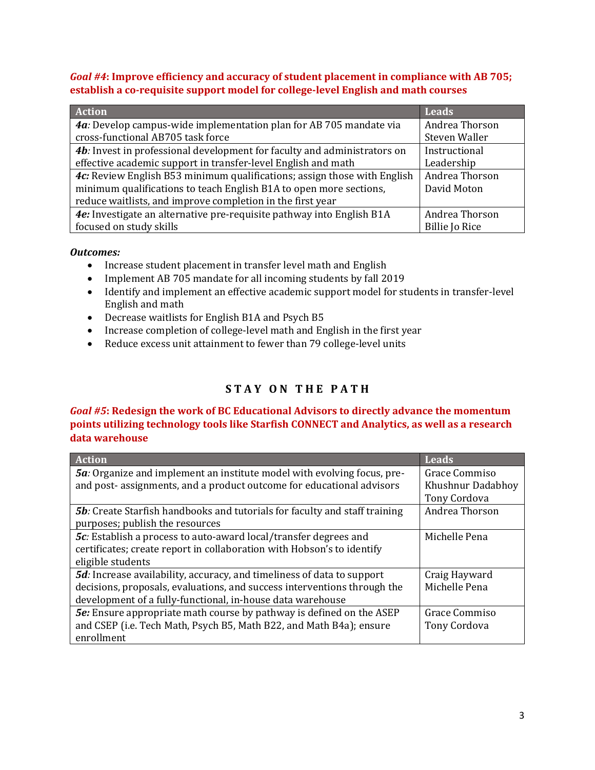*Goal #4***: Improve efficiency and accuracy of student placement in compliance with AB 705; establish a co-requisite support model for college-level English and math courses**

| <b>Action</b>                                                            | <b>Leads</b>          |
|--------------------------------------------------------------------------|-----------------------|
| 4a: Develop campus-wide implementation plan for AB 705 mandate via       | Andrea Thorson        |
| cross-functional AB705 task force                                        | Steven Waller         |
| 4b: Invest in professional development for faculty and administrators on | Instructional         |
| effective academic support in transfer-level English and math            | Leadership            |
| 4c: Review English B53 minimum qualifications; assign those with English | Andrea Thorson        |
| minimum qualifications to teach English B1A to open more sections,       | David Moton           |
| reduce waitlists, and improve completion in the first year               |                       |
| 4e: Investigate an alternative pre-requisite pathway into English B1A    | Andrea Thorson        |
| focused on study skills                                                  | <b>Billie Jo Rice</b> |

#### *Outcomes:*

- Increase student placement in transfer level math and English
- Implement AB 705 mandate for all incoming students by fall 2019
- Identify and implement an effective academic support model for students in transfer-level English and math
- Decrease waitlists for English B1A and Psych B5
- Increase completion of college-level math and English in the first year
- Reduce excess unit attainment to fewer than 79 college-level units

# **S T A Y O N T H E P A T H**

*Goal #5***: Redesign the work of BC Educational Advisors to directly advance the momentum points utilizing technology tools like Starfish CONNECT and Analytics, as well as a research data warehouse**

| Action                                                                             | <b>Leads</b>      |
|------------------------------------------------------------------------------------|-------------------|
| <b>5a</b> : Organize and implement an institute model with evolving focus, pre-    | Grace Commiso     |
| and post- assignments, and a product outcome for educational advisors              | Khushnur Dadabhoy |
|                                                                                    | Tony Cordova      |
| <b>5b</b> : Create Starfish handbooks and tutorials for faculty and staff training | Andrea Thorson    |
| purposes; publish the resources                                                    |                   |
| 5c: Establish a process to auto-award local/transfer degrees and                   | Michelle Pena     |
| certificates; create report in collaboration with Hobson's to identify             |                   |
| eligible students                                                                  |                   |
| <b>5d</b> : Increase availability, accuracy, and timeliness of data to support     | Craig Hayward     |
| decisions, proposals, evaluations, and success interventions through the           | Michelle Pena     |
| development of a fully-functional, in-house data warehouse                         |                   |
| <b>5e:</b> Ensure appropriate math course by pathway is defined on the ASEP        | Grace Commiso     |
| and CSEP (i.e. Tech Math, Psych B5, Math B22, and Math B4a); ensure                | Tony Cordova      |
| enrollment                                                                         |                   |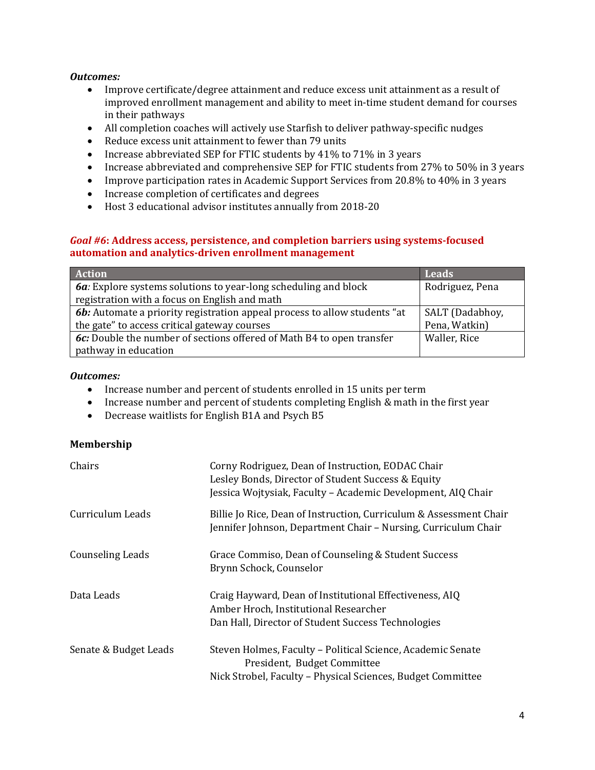#### *Outcomes:*

- Improve certificate/degree attainment and reduce excess unit attainment as a result of improved enrollment management and ability to meet in-time student demand for courses in their pathways
- All completion coaches will actively use Starfish to deliver pathway-specific nudges
- Reduce excess unit attainment to fewer than 79 units
- Increase abbreviated SEP for FTIC students by 41% to 71% in 3 years
- Increase abbreviated and comprehensive SEP for FTIC students from 27% to 50% in 3 years
- Improve participation rates in Academic Support Services from 20.8% to 40% in 3 years
- Increase completion of certificates and degrees
- Host 3 educational advisor institutes annually from 2018-20

#### *Goal #6***: Address access, persistence, and completion barriers using systems-focused automation and analytics-driven enrollment management**

| <b>Action</b>                                                                    | Leads           |
|----------------------------------------------------------------------------------|-----------------|
| 6a: Explore systems solutions to year-long scheduling and block                  | Rodriguez, Pena |
| registration with a focus on English and math                                    |                 |
| <b>6b:</b> Automate a priority registration appeal process to allow students "at | SALT (Dadabhoy, |
| the gate" to access critical gateway courses                                     | Pena, Watkin)   |
| 6c: Double the number of sections offered of Math B4 to open transfer            | Waller, Rice    |
| pathway in education                                                             |                 |

#### *Outcomes:*

- Increase number and percent of students enrolled in 15 units per term
- Increase number and percent of students completing English & math in the first year
- Decrease waitlists for English B1A and Psych B5

### **Membership**

| Chairs                  | Corny Rodriguez, Dean of Instruction, EODAC Chair<br>Lesley Bonds, Director of Student Success & Equity<br>Jessica Wojtysiak, Faculty - Academic Development, AIQ Chair |
|-------------------------|-------------------------------------------------------------------------------------------------------------------------------------------------------------------------|
| Curriculum Leads        | Billie Jo Rice, Dean of Instruction, Curriculum & Assessment Chair<br>Jennifer Johnson, Department Chair - Nursing, Curriculum Chair                                    |
| <b>Counseling Leads</b> | Grace Commiso, Dean of Counseling & Student Success<br>Brynn Schock, Counselor                                                                                          |
| Data Leads              | Craig Hayward, Dean of Institutional Effectiveness, AIQ<br>Amber Hroch, Institutional Researcher<br>Dan Hall, Director of Student Success Technologies                  |
| Senate & Budget Leads   | Steven Holmes, Faculty - Political Science, Academic Senate<br>President, Budget Committee<br>Nick Strobel, Faculty - Physical Sciences, Budget Committee               |